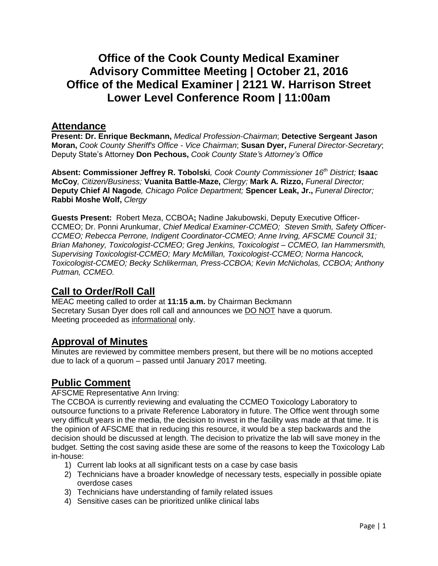# **Office of the Cook County Medical Examiner Advisory Committee Meeting | October 21, 2016 Office of the Medical Examiner | 2121 W. Harrison Street Lower Level Conference Room | 11:00am**

### **Attendance**

**Present: Dr. Enrique Beckmann,** *Medical Profession-Chairman*; **Detective Sergeant Jason Moran,** *Cook County Sheriff's Office - Vice Chairman*; **Susan Dyer,** *Funeral Director-Secretary*; Deputy State's Attorney **Don Pechous,** *Cook County State's Attorney's Office*

**Absent: Commissioner Jeffrey R. Tobolski***, Cook County Commissioner 16th District;* **Isaac McCoy***, Citizen/Business;* **Vuanita Battle-Maze,** *Clergy;* **Mark A. Rizzo,** *Funeral Director;* **Deputy Chief Al Nagode***, Chicago Police Department;* **Spencer Leak, Jr.,** *Funeral Director;* **Rabbi Moshe Wolf,** *Clergy*

**Guests Present:** Robert Meza, CCBOA**;** Nadine Jakubowski, Deputy Executive Officer-CCMEO; Dr. Ponni Arunkumar, *Chief Medical Examiner-CCMEO; Steven Smith, Safety Officer-CCMEO; Rebecca Perrone, Indigent Coordinator-CCMEO; Anne Irving, AFSCME Council 31; Brian Mahoney, Toxicologist-CCMEO; Greg Jenkins, Toxicologist – CCMEO, Ian Hammersmith, Supervising Toxicologist-CCMEO; Mary McMillan, Toxicologist-CCMEO; Norma Hancock, Toxicologist-CCMEO; Becky Schlikerman, Press-CCBOA; Kevin McNicholas, CCBOA; Anthony Putman, CCMEO.* 

## **Call to Order/Roll Call**

MEAC meeting called to order at **11:15 a.m.** by Chairman Beckmann Secretary Susan Dyer does roll call and announces we DO NOT have a quorum. Meeting proceeded as informational only.

## **Approval of Minutes**

Minutes are reviewed by committee members present, but there will be no motions accepted due to lack of a quorum – passed until January 2017 meeting.

## **Public Comment**

AFSCME Representative Ann Irving:

The CCBOA is currently reviewing and evaluating the CCMEO Toxicology Laboratory to outsource functions to a private Reference Laboratory in future. The Office went through some very difficult years in the media, the decision to invest in the facility was made at that time. It is the opinion of AFSCME that in reducing this resource, it would be a step backwards and the decision should be discussed at length. The decision to privatize the lab will save money in the budget. Setting the cost saving aside these are some of the reasons to keep the Toxicology Lab in-house:

- 1) Current lab looks at all significant tests on a case by case basis
- 2) Technicians have a broader knowledge of necessary tests, especially in possible opiate overdose cases
- 3) Technicians have understanding of family related issues
- 4) Sensitive cases can be prioritized unlike clinical labs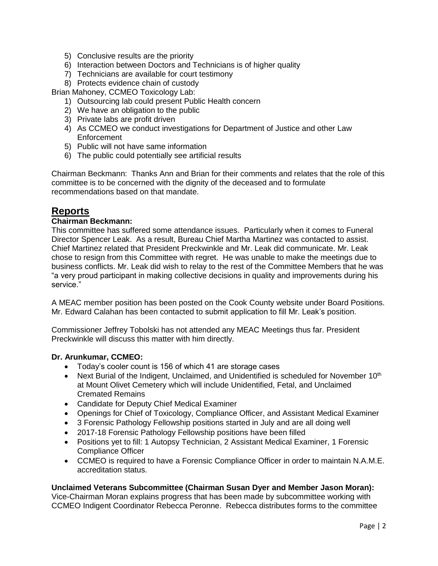- 5) Conclusive results are the priority
- 6) Interaction between Doctors and Technicians is of higher quality
- 7) Technicians are available for court testimony
- 8) Protects evidence chain of custody

Brian Mahoney, CCMEO Toxicology Lab:

- 1) Outsourcing lab could present Public Health concern
- 2) We have an obligation to the public
- 3) Private labs are profit driven
- 4) As CCMEO we conduct investigations for Department of Justice and other Law **Enforcement**
- 5) Public will not have same information
- 6) The public could potentially see artificial results

Chairman Beckmann: Thanks Ann and Brian for their comments and relates that the role of this committee is to be concerned with the dignity of the deceased and to formulate recommendations based on that mandate.

## **Reports**

#### **Chairman Beckmann:**

This committee has suffered some attendance issues. Particularly when it comes to Funeral Director Spencer Leak. As a result, Bureau Chief Martha Martinez was contacted to assist. Chief Martinez related that President Preckwinkle and Mr. Leak did communicate. Mr. Leak chose to resign from this Committee with regret. He was unable to make the meetings due to business conflicts. Mr. Leak did wish to relay to the rest of the Committee Members that he was "a very proud participant in making collective decisions in quality and improvements during his service."

A MEAC member position has been posted on the Cook County website under Board Positions. Mr. Edward Calahan has been contacted to submit application to fill Mr. Leak's position.

Commissioner Jeffrey Tobolski has not attended any MEAC Meetings thus far. President Preckwinkle will discuss this matter with him directly.

#### **Dr. Arunkumar, CCMEO:**

- Today's cooler count is 156 of which 41 are storage cases
- Next Burial of the Indigent, Unclaimed, and Unidentified is scheduled for November  $10<sup>th</sup>$ at Mount Olivet Cemetery which will include Unidentified, Fetal, and Unclaimed Cremated Remains
- Candidate for Deputy Chief Medical Examiner
- Openings for Chief of Toxicology, Compliance Officer, and Assistant Medical Examiner
- 3 Forensic Pathology Fellowship positions started in July and are all doing well
- 2017-18 Forensic Pathology Fellowship positions have been filled
- Positions yet to fill: 1 Autopsy Technician, 2 Assistant Medical Examiner, 1 Forensic Compliance Officer
- CCMEO is required to have a Forensic Compliance Officer in order to maintain N.A.M.E. accreditation status.

#### **Unclaimed Veterans Subcommittee (Chairman Susan Dyer and Member Jason Moran):**

Vice-Chairman Moran explains progress that has been made by subcommittee working with CCMEO Indigent Coordinator Rebecca Peronne. Rebecca distributes forms to the committee